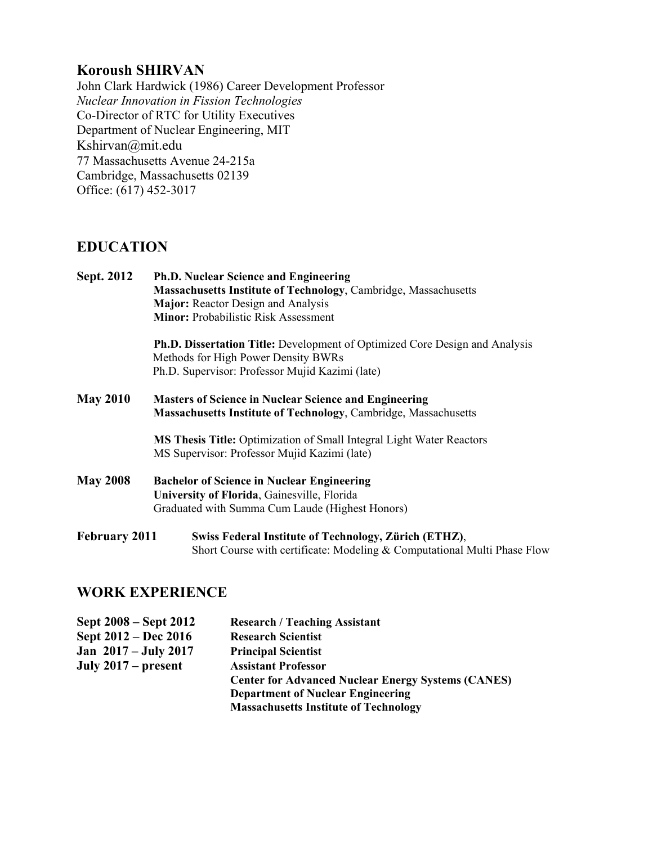## **Koroush SHIRVAN**

John Clark Hardwick (1986) Career Development Professor *Nuclear Innovation in Fission Technologies* Co-Director of RTC for Utility Executives Department of Nuclear Engineering, MIT Kshirvan@mit.edu 77 Massachusetts Avenue 24-215a Cambridge, Massachusetts 02139 Office: (617) 452-3017

## **EDUCATION**

| Sept. 2012           | <b>Ph.D. Nuclear Science and Engineering</b><br><b>Massachusetts Institute of Technology, Cambridge, Massachusetts</b>                                                       |  |  |
|----------------------|------------------------------------------------------------------------------------------------------------------------------------------------------------------------------|--|--|
|                      | Major: Reactor Design and Analysis<br><b>Minor: Probabilistic Risk Assessment</b>                                                                                            |  |  |
|                      | <b>Ph.D. Dissertation Title:</b> Development of Optimized Core Design and Analysis<br>Methods for High Power Density BWRs<br>Ph.D. Supervisor: Professor Mujid Kazimi (late) |  |  |
| <b>May 2010</b>      | <b>Masters of Science in Nuclear Science and Engineering</b><br>Massachusetts Institute of Technology, Cambridge, Massachusetts                                              |  |  |
|                      | MS Thesis Title: Optimization of Small Integral Light Water Reactors<br>MS Supervisor: Professor Mujid Kazimi (late)                                                         |  |  |
| <b>May 2008</b>      | <b>Bachelor of Science in Nuclear Engineering</b><br>University of Florida, Gainesville, Florida<br>Graduated with Summa Cum Laude (Highest Honors)                          |  |  |
| <b>February 2011</b> | Swiss Federal Institute of Technology, Zürich (ETHZ),<br>Short Course with certificate: Modeling & Computational Multi Phase Flow                                            |  |  |

## **WORK EXPERIENCE**

| Sept 2008 – Sept 2012  | <b>Research / Teaching Assistant</b>                      |
|------------------------|-----------------------------------------------------------|
| Sept 2012 – Dec 2016   | <b>Research Scientist</b>                                 |
| Jan $2017 - July 2017$ | <b>Principal Scientist</b>                                |
| July $2017$ – present  | <b>Assistant Professor</b>                                |
|                        | <b>Center for Advanced Nuclear Energy Systems (CANES)</b> |
|                        | <b>Department of Nuclear Engineering</b>                  |
|                        | <b>Massachusetts Institute of Technology</b>              |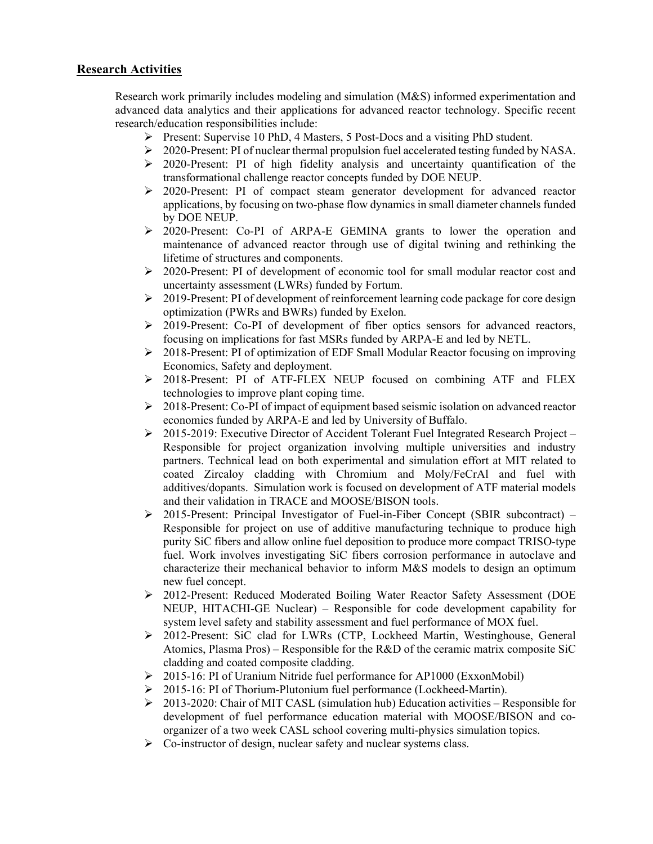### **Research Activities**

Research work primarily includes modeling and simulation (M&S) informed experimentation and advanced data analytics and their applications for advanced reactor technology. Specific recent research/education responsibilities include:

- Present: Supervise 10 PhD, 4 Masters, 5 Post-Docs and a visiting PhD student.
- $\geq 2020$ -Present: PI of nuclear thermal propulsion fuel accelerated testing funded by NASA.
- > 2020-Present: PI of high fidelity analysis and uncertainty quantification of the transformational challenge reactor concepts funded by DOE NEUP.
- $\geq$  2020-Present: PI of compact steam generator development for advanced reactor applications, by focusing on two-phase flow dynamics in small diameter channels funded by DOE NEUP.
- > 2020-Present: Co-PI of ARPA-E GEMINA grants to lower the operation and maintenance of advanced reactor through use of digital twining and rethinking the lifetime of structures and components.
- $\geq 2020$ -Present: PI of development of economic tool for small modular reactor cost and uncertainty assessment (LWRs) funded by Fortum.
- $\geq 2019$ -Present: PI of development of reinforcement learning code package for core design optimization (PWRs and BWRs) funded by Exelon.
- $\geq$  2019-Present: Co-PI of development of fiber optics sensors for advanced reactors, focusing on implications for fast MSRs funded by ARPA-E and led by NETL.
- $\geq 2018$ -Present: PI of optimization of EDF Small Modular Reactor focusing on improving Economics, Safety and deployment.
- 2018-Present: PI of ATF-FLEX NEUP focused on combining ATF and FLEX technologies to improve plant coping time.
- $\geq 2018$ -Present: Co-PI of impact of equipment based seismic isolation on advanced reactor economics funded by ARPA-E and led by University of Buffalo.
- 2015-2019: Executive Director of Accident Tolerant Fuel Integrated Research Project Responsible for project organization involving multiple universities and industry partners. Technical lead on both experimental and simulation effort at MIT related to coated Zircaloy cladding with Chromium and Moly/FeCrAl and fuel with additives/dopants. Simulation work is focused on development of ATF material models and their validation in TRACE and MOOSE/BISON tools.
- $\geq$  2015-Present: Principal Investigator of Fuel-in-Fiber Concept (SBIR subcontract) Responsible for project on use of additive manufacturing technique to produce high purity SiC fibers and allow online fuel deposition to produce more compact TRISO-type fuel. Work involves investigating SiC fibers corrosion performance in autoclave and characterize their mechanical behavior to inform M&S models to design an optimum new fuel concept.
- 2012-Present: Reduced Moderated Boiling Water Reactor Safety Assessment (DOE NEUP, HITACHI-GE Nuclear) – Responsible for code development capability for system level safety and stability assessment and fuel performance of MOX fuel.
- 2012-Present: SiC clad for LWRs (CTP, Lockheed Martin, Westinghouse, General Atomics, Plasma Pros) – Responsible for the R&D of the ceramic matrix composite SiC cladding and coated composite cladding.
- 2015-16: PI of Uranium Nitride fuel performance for AP1000 (ExxonMobil)
- 2015-16: PI of Thorium-Plutonium fuel performance (Lockheed-Martin).
- $\geq 2013-2020$ : Chair of MIT CASL (simulation hub) Education activities Responsible for development of fuel performance education material with MOOSE/BISON and coorganizer of a two week CASL school covering multi-physics simulation topics.
- $\triangleright$  Co-instructor of design, nuclear safety and nuclear systems class.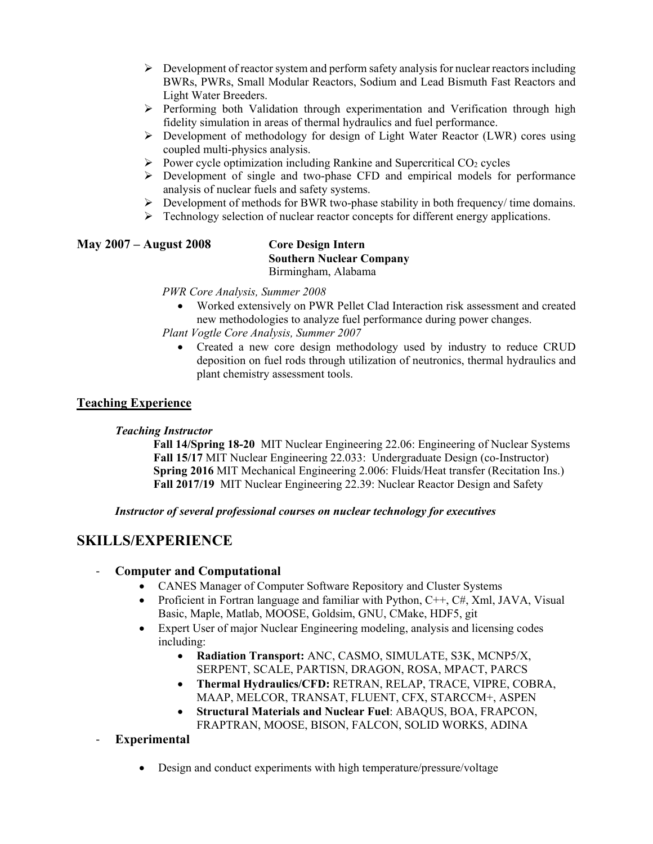- $\triangleright$  Development of reactor system and perform safety analysis for nuclear reactors including BWRs, PWRs, Small Modular Reactors, Sodium and Lead Bismuth Fast Reactors and Light Water Breeders.
- $\triangleright$  Performing both Validation through experimentation and Verification through high fidelity simulation in areas of thermal hydraulics and fuel performance.
- $\triangleright$  Development of methodology for design of Light Water Reactor (LWR) cores using coupled multi-physics analysis.
- $\triangleright$  Power cycle optimization including Rankine and Supercritical CO<sub>2</sub> cycles
- Development of single and two-phase CFD and empirical models for performance analysis of nuclear fuels and safety systems.
- $\triangleright$  Development of methods for BWR two-phase stability in both frequency/ time domains.
- $\triangleright$  Technology selection of nuclear reactor concepts for different energy applications.

#### **May 2007 – August 2008 Core Design Intern Southern Nuclear Company** Birmingham, Alabama

*PWR Core Analysis, Summer 2008*

• Worked extensively on PWR Pellet Clad Interaction risk assessment and created new methodologies to analyze fuel performance during power changes.

*Plant Vogtle Core Analysis, Summer 2007*

• Created a new core design methodology used by industry to reduce CRUD deposition on fuel rods through utilization of neutronics, thermal hydraulics and plant chemistry assessment tools.

### **Teaching Experience**

### *Teaching Instructor*

 **Fall 14/Spring 18-20** MIT Nuclear Engineering 22.06: Engineering of Nuclear Systems **Fall 15/17** MIT Nuclear Engineering 22.033: Undergraduate Design (co-Instructor) **Spring 2016** MIT Mechanical Engineering 2.006: Fluids/Heat transfer (Recitation Ins.) **Fall 2017/19** MIT Nuclear Engineering 22.39: Nuclear Reactor Design and Safety

#### *Instructor of several professional courses on nuclear technology for executives*

## **SKILLS/EXPERIENCE**

### - **Computer and Computational**

- CANES Manager of Computer Software Repository and Cluster Systems
- Proficient in Fortran language and familiar with Python, C++, C#, Xml, JAVA, Visual Basic, Maple, Matlab, MOOSE, Goldsim, GNU, CMake, HDF5, git
- Expert User of major Nuclear Engineering modeling, analysis and licensing codes including:
	- **Radiation Transport:** ANC, CASMO, SIMULATE, S3K, MCNP5/X, SERPENT, SCALE, PARTISN, DRAGON, ROSA, MPACT, PARCS
	- **Thermal Hydraulics/CFD:** RETRAN, RELAP, TRACE, VIPRE, COBRA, MAAP, MELCOR, TRANSAT, FLUENT, CFX, STARCCM+, ASPEN
	- **Structural Materials and Nuclear Fuel**: ABAQUS, BOA, FRAPCON, FRAPTRAN, MOOSE, BISON, FALCON, SOLID WORKS, ADINA

### - **Experimental**

• Design and conduct experiments with high temperature/pressure/voltage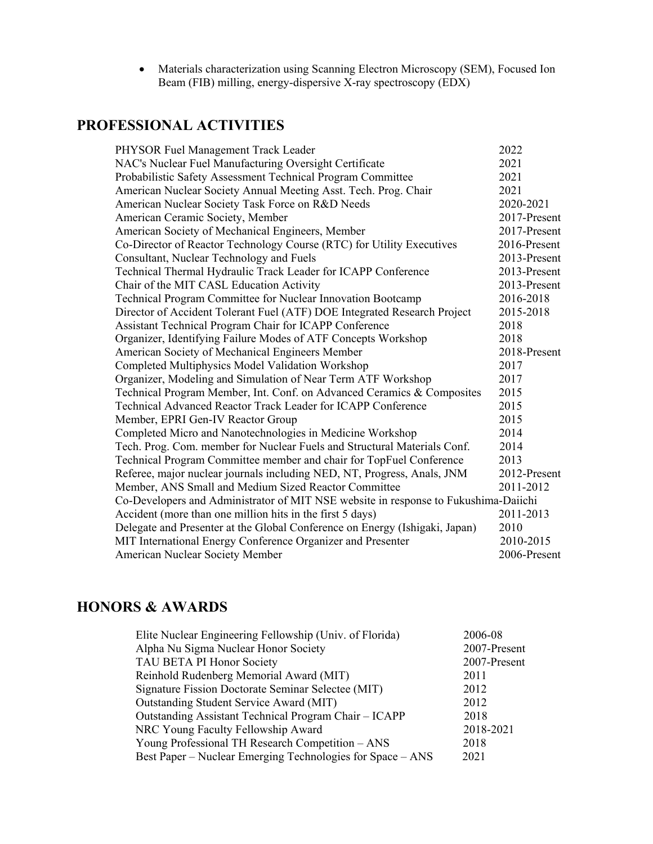• Materials characterization using Scanning Electron Microscopy (SEM), Focused Ion Beam (FIB) milling, energy-dispersive X-ray spectroscopy (EDX)

# **PROFESSIONAL ACTIVITIES**

| PHYSOR Fuel Management Track Leader                                                 | 2022         |
|-------------------------------------------------------------------------------------|--------------|
| NAC's Nuclear Fuel Manufacturing Oversight Certificate                              | 2021         |
| Probabilistic Safety Assessment Technical Program Committee                         | 2021         |
| American Nuclear Society Annual Meeting Asst. Tech. Prog. Chair                     | 2021         |
| American Nuclear Society Task Force on R&D Needs                                    | 2020-2021    |
| American Ceramic Society, Member                                                    | 2017-Present |
| American Society of Mechanical Engineers, Member                                    | 2017-Present |
| Co-Director of Reactor Technology Course (RTC) for Utility Executives               | 2016-Present |
| Consultant, Nuclear Technology and Fuels                                            | 2013-Present |
| Technical Thermal Hydraulic Track Leader for ICAPP Conference                       | 2013-Present |
| Chair of the MIT CASL Education Activity                                            | 2013-Present |
| Technical Program Committee for Nuclear Innovation Bootcamp                         | 2016-2018    |
| Director of Accident Tolerant Fuel (ATF) DOE Integrated Research Project            | 2015-2018    |
| Assistant Technical Program Chair for ICAPP Conference                              | 2018         |
| Organizer, Identifying Failure Modes of ATF Concepts Workshop                       | 2018         |
| American Society of Mechanical Engineers Member                                     | 2018-Present |
| Completed Multiphysics Model Validation Workshop                                    | 2017         |
| Organizer, Modeling and Simulation of Near Term ATF Workshop                        | 2017         |
| Technical Program Member, Int. Conf. on Advanced Ceramics & Composites              | 2015         |
| Technical Advanced Reactor Track Leader for ICAPP Conference                        | 2015         |
| Member, EPRI Gen-IV Reactor Group                                                   | 2015         |
| Completed Micro and Nanotechnologies in Medicine Workshop                           | 2014         |
| Tech. Prog. Com. member for Nuclear Fuels and Structural Materials Conf.            | 2014         |
| Technical Program Committee member and chair for TopFuel Conference                 | 2013         |
| Referee, major nuclear journals including NED, NT, Progress, Anals, JNM             | 2012-Present |
| Member, ANS Small and Medium Sized Reactor Committee                                | 2011-2012    |
| Co-Developers and Administrator of MIT NSE website in response to Fukushima-Daiichi |              |
| Accident (more than one million hits in the first 5 days)                           | 2011-2013    |
| Delegate and Presenter at the Global Conference on Energy (Ishigaki, Japan)         | 2010         |
| MIT International Energy Conference Organizer and Presenter                         | 2010-2015    |
| <b>American Nuclear Society Member</b>                                              | 2006-Present |

# **HONORS & AWARDS**

| Elite Nuclear Engineering Fellowship (Univ. of Florida)    | 2006-08      |  |
|------------------------------------------------------------|--------------|--|
| Alpha Nu Sigma Nuclear Honor Society                       | 2007-Present |  |
| TAU BETA PI Honor Society                                  | 2007-Present |  |
| Reinhold Rudenberg Memorial Award (MIT)                    | 2011         |  |
| Signature Fission Doctorate Seminar Selectee (MIT)         | 2012         |  |
| Outstanding Student Service Award (MIT)                    | 2012         |  |
| Outstanding Assistant Technical Program Chair - ICAPP      | 2018         |  |
| NRC Young Faculty Fellowship Award                         | 2018-2021    |  |
| Young Professional TH Research Competition – ANS           | 2018         |  |
| Best Paper – Nuclear Emerging Technologies for Space – ANS | 2021         |  |
|                                                            |              |  |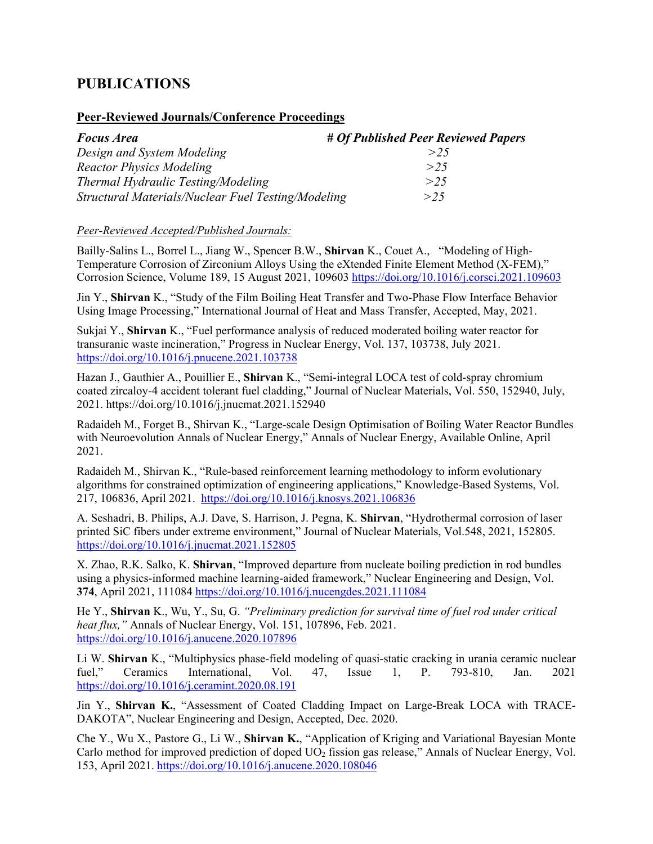# **PUBLICATIONS**

#### **Peer-Reviewed Journals/Conference Proceedings**

| <b>Focus Area</b>                                  | # Of Published Peer Reviewed Papers |
|----------------------------------------------------|-------------------------------------|
| Design and System Modeling                         | > 25                                |
| <b>Reactor Physics Modeling</b>                    | > 25                                |
| Thermal Hydraulic Testing/Modeling                 | >2.5                                |
| Structural Materials/Nuclear Fuel Testing/Modeling | >2.5                                |

#### *Peer-Reviewed Accepted/Published Journals:*

Bailly-Salins L., Borrel L., Jiang W., Spencer B.W., **Shirvan** K., Couet A., "Modeling of High-Temperature Corrosion of Zirconium Alloys Using the eXtended Finite Element Method (X-FEM)," Corrosion Science, Volume 189, 15 August 2021, 109603 <https://doi.org/10.1016/j.corsci.2021.109603>

Jin Y., **Shirvan** K., "Study of the Film Boiling Heat Transfer and Two-Phase Flow Interface Behavior Using Image Processing," International Journal of Heat and Mass Transfer, Accepted, May, 2021.

Sukjai Y., **Shirvan** K., "Fuel performance analysis of reduced moderated boiling water reactor for transuranic waste incineration," Progress in Nuclear Energy, Vol. 137, 103738, July 2021. <https://doi.org/10.1016/j.pnucene.2021.103738>

Hazan J., Gauthier A., Pouillier E., **Shirvan** K., "Semi-integral LOCA test of cold-spray chromium coated zircaloy-4 accident tolerant fuel cladding," Journal of Nuclear Materials, Vol. 550, 152940, July, 2021. https://doi.org/10.1016/j.jnucmat.2021.152940

Radaideh M., Forget B., Shirvan K., "Large-scale Design Optimisation of Boiling Water Reactor Bundles with Neuroevolution Annals of Nuclear Energy," Annals of Nuclear Energy, Available Online, April 2021.

Radaideh M., Shirvan K., "Rule-based reinforcement learning methodology to inform evolutionary algorithms for constrained optimization of engineering applications," Knowledge-Based Systems, Vol. 217, 106836, April 2021. <https://doi.org/10.1016/j.knosys.2021.106836>

A. Seshadri, B. Philips, A.J. Dave, S. Harrison, J. Pegna, K. **Shirvan**, "Hydrothermal corrosion of laser printed SiC fibers under extreme environment," Journal of Nuclear Materials, Vol.548, 2021, 152805. <https://doi.org/10.1016/j.jnucmat.2021.152805>

X. Zhao, R.K. Salko, K. **Shirvan**, "Improved departure from nucleate boiling prediction in rod bundles using a physics-informed machine learning-aided framework," Nuclear Engineering and Design, Vol. **374**, April 2021, 111084 <https://doi.org/10.1016/j.nucengdes.2021.111084>

He Y., **Shirvan** K., Wu, Y., Su, G. *"Preliminary prediction for survival time of fuel rod under critical heat flux,"* Annals of Nuclear Energy, Vol. 151, 107896, Feb. 2021. <https://doi.org/10.1016/j.anucene.2020.107896>

Li W. **Shirvan** K., "Multiphysics phase-field modeling of quasi-static cracking in urania ceramic nuclear fuel," Ceramics International, Vol. 47, Issue 1, P. 793-810, Jan. 2021 <https://doi.org/10.1016/j.ceramint.2020.08.191>

Jin Y., **Shirvan K.**, "Assessment of Coated Cladding Impact on Large-Break LOCA with TRACE-DAKOTA", Nuclear Engineering and Design, Accepted, Dec. 2020.

Che Y., Wu X., Pastore G., Li W., **Shirvan K.**, "Application of Kriging and Variational Bayesian Monte Carlo method for improved prediction of doped  $UO<sub>2</sub>$  fission gas release," Annals of Nuclear Energy, Vol. 153, April 2021. <https://doi.org/10.1016/j.anucene.2020.108046>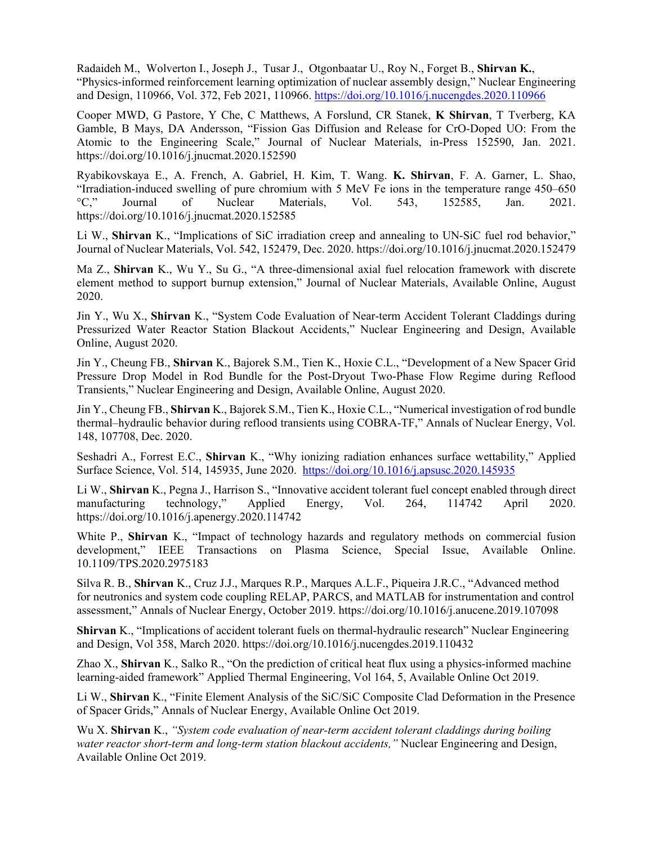Radaideh M., Wolverton I., Joseph J., Tusar J., Otgonbaatar U., Roy N., Forget B., **Shirvan K.**, "Physics-informed reinforcement learning optimization of nuclear assembly design," Nuclear Engineering and Design, 110966, Vol. 372, Feb 2021, 110966. <https://doi.org/10.1016/j.nucengdes.2020.110966>

Cooper MWD, G Pastore, Y Che, C Matthews, A Forslund, CR Stanek, **K Shirvan**, T Tverberg, KA Gamble, B Mays, DA Andersson, "Fission Gas Diffusion and Release for CrO-Doped UO: From the Atomic to the Engineering Scale," Journal of Nuclear Materials, in-Press 152590, Jan. 2021. https://doi.org/10.1016/j.jnucmat.2020.152590

Ryabikovskaya E., A. French, A. Gabriel, H. Kim, T. Wang. **K. Shirvan**, F. A. Garner, L. Shao, "Irradiation-induced swelling of pure chromium with 5 MeV Fe ions in the temperature range 450–650 °C," Journal of Nuclear Materials, Vol. 543, 152585, Jan. 2021. https://doi.org/10.1016/j.jnucmat.2020.152585

Li W., **Shirvan** K., "Implications of SiC irradiation creep and annealing to UN-SiC fuel rod behavior," Journal of Nuclear Materials, Vol. 542, 152479, Dec. 2020. https://doi.org/10.1016/j.jnucmat.2020.152479

Ma Z., **Shirvan** K., Wu Y., Su G., "A three-dimensional axial fuel relocation framework with discrete element method to support burnup extension," Journal of Nuclear Materials, Available Online, August 2020.

Jin Y., Wu X., **Shirvan** K., "System Code Evaluation of Near-term Accident Tolerant Claddings during Pressurized Water Reactor Station Blackout Accidents," Nuclear Engineering and Design, Available Online, August 2020.

Jin Y., Cheung FB., **Shirvan** K., Bajorek S.M., Tien K., Hoxie C.L., "Development of a New Spacer Grid Pressure Drop Model in Rod Bundle for the Post-Dryout Two-Phase Flow Regime during Reflood Transients," Nuclear Engineering and Design, Available Online, August 2020.

Jin Y., Cheung FB., **Shirvan** K., Bajorek S.M., Tien K., Hoxie C.L., "Numerical investigation of rod bundle thermal–hydraulic behavior during reflood transients using COBRA-TF," Annals of Nuclear Energy, Vol. 148, 107708, Dec. 2020.

Seshadri A., Forrest E.C., **Shirvan** K., "Why ionizing radiation enhances surface wettability," Applied Surface Science, Vol. 514, 145935, June 2020.<https://doi.org/10.1016/j.apsusc.2020.145935>

Li W., **Shirvan** K., Pegna J., Harrison S., "Innovative accident tolerant fuel concept enabled through direct manufacturing technology," Applied Energy, Vol. 264, 114742 April 2020. https://doi.org/10.1016/j.apenergy.2020.114742

White P., **Shirvan** K., "Impact of technology hazards and regulatory methods on commercial fusion development," IEEE Transactions on Plasma Science, Special Issue, Available Online. 10.1109/TPS.2020.2975183

Silva R. B., **Shirvan** K., Cruz J.J., Marques R.P., Marques A.L.F., Piqueira J.R.C., "Advanced method for neutronics and system code coupling RELAP, PARCS, and MATLAB for instrumentation and control assessment," Annals of Nuclear Energy, October 2019. https://doi.org/10.1016/j.anucene.2019.107098

**Shirvan** K., "Implications of accident tolerant fuels on thermal-hydraulic research" Nuclear Engineering and Design, Vol 358, March 2020. https://doi.org/10.1016/j.nucengdes.2019.110432

Zhao X., **Shirvan** K., Salko R., "On the prediction of critical heat flux using a physics-informed machine learning-aided framework" Applied Thermal Engineering, Vol 164, 5, Available Online Oct 2019.

Li W., **Shirvan** K., "Finite Element Analysis of the SiC/SiC Composite Clad Deformation in the Presence of Spacer Grids," Annals of Nuclear Energy, Available Online Oct 2019.

Wu X. **Shirvan** K., *"System code evaluation of near-term accident tolerant claddings during boiling water reactor short-term and long-term station blackout accidents,"* Nuclear Engineering and Design, Available Online Oct 2019.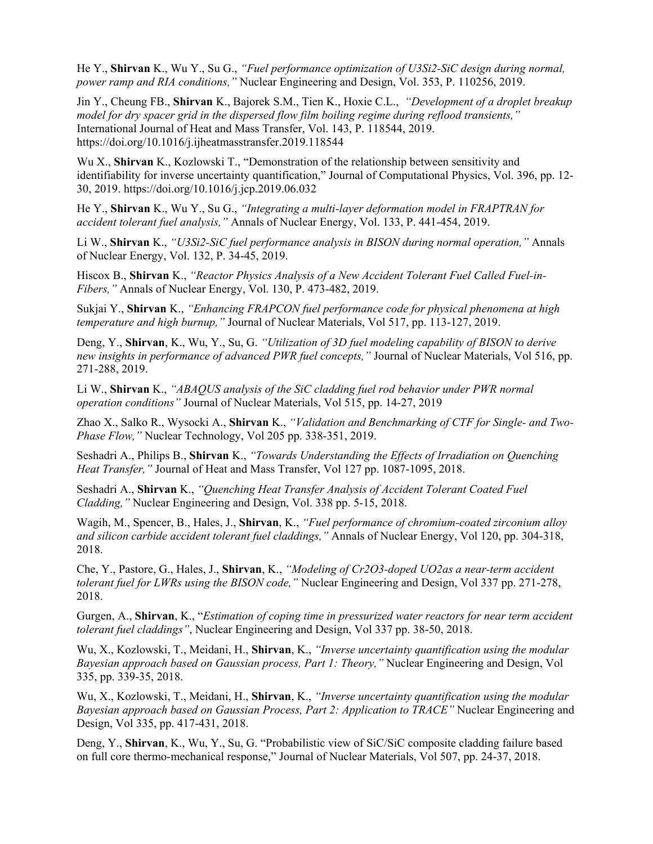He Y., **Shirvan** K., Wu Y., Su G., *"Fuel performance optimization of U3Si2-SiC design during normal, power ramp and RIA conditions,"* Nuclear Engineering and Design, Vol. 353, P. 110256, 2019.

Jin Y., Cheung FB., **Shirvan** K., Bajorek S.M., Tien K., Hoxie C.L., *"Development of a droplet breakup model for dry spacer grid in the dispersed flow film boiling regime during reflood transients,"*  International Journal of Heat and Mass Transfer, Vol. 143, P. 118544, 2019. https://doi.org/10.1016/j.ijheatmasstransfer.2019.118544

Wu X., **Shirvan** K., Kozlowski T., "Demonstration of the relationship between sensitivity and identifiability for inverse uncertainty quantification," Journal of Computational Physics, Vol. 396, pp. 12- 30, 2019. https://doi.org/10.1016/j.jcp.2019.06.032

He Y., **Shirvan** K., Wu Y., Su G., *"Integrating a multi-layer deformation model in FRAPTRAN for accident tolerant fuel analysis,"* Annals of Nuclear Energy, Vol. 133, P. 441-454, 2019.

Li W., **Shirvan** K., *"U3Si2-SiC fuel performance analysis in BISON during normal operation,"* Annals of Nuclear Energy, Vol. 132, P. 34-45, 2019.

Hiscox B., **Shirvan** K., *"Reactor Physics Analysis of a New Accident Tolerant Fuel Called Fuel-in-Fibers,"* Annals of Nuclear Energy, Vol. 130, P. 473-482, 2019.

Sukjai Y., **Shirvan** K., *"Enhancing FRAPCON fuel performance code for physical phenomena at high temperature and high burnup,"* Journal of Nuclear Materials, Vol 517, pp. 113-127, 2019.

Deng, Y., **Shirvan**, K., Wu, Y., Su, G. *"Utilization of 3D fuel modeling capability of BISON to derive new insights in performance of advanced PWR fuel concepts,"* Journal of Nuclear Materials, Vol 516, pp. 271-288, 2019.

Li W., **Shirvan** K., *"ABAQUS analysis of the SiC cladding fuel rod behavior under PWR normal operation conditions"* Journal of Nuclear Materials, Vol 515, pp. 14-27, 2019

Zhao X., Salko R., Wysocki A., **Shirvan** K., *"Validation and Benchmarking of CTF for Single- and Two-Phase Flow,"* Nuclear Technology, Vol 205 pp. 338-351, 2019.

Seshadri A., Philips B., **Shirvan** K., *"Towards Understanding the Effects of Irradiation on Quenching Heat Transfer,"* Journal of Heat and Mass Transfer, Vol 127 pp. 1087-1095, 2018.

Seshadri A., **Shirvan** K., *"Quenching Heat Transfer Analysis of Accident Tolerant Coated Fuel Cladding,"* Nuclear Engineering and Design, Vol. 338 pp. 5-15, 2018.

Wagih, M., Spencer, B., Hales, J., **Shirvan**, K., *"Fuel performance of chromium-coated zirconium alloy and silicon carbide accident tolerant fuel claddings,"* Annals of Nuclear Energy, Vol 120, pp. 304-318, 2018.

Che, Y., Pastore, G., Hales, J., **Shirvan**, K., *"Modeling of Cr2O3-doped UO2as a near-term accident tolerant fuel for LWRs using the BISON code,"* Nuclear Engineering and Design, Vol 337 pp. 271-278, 2018.

Gurgen, A., **Shirvan**, K., "*Estimation of coping time in pressurized water reactors for near term accident tolerant fuel claddings"*, Nuclear Engineering and Design, Vol 337 pp. 38-50, 2018.

Wu, X., Kozlowski, T., Meidani, H., **Shirvan**, K., *"Inverse uncertainty quantification using the modular Bayesian approach based on Gaussian process, Part 1: Theory,"* Nuclear Engineering and Design, Vol 335, pp. 339-35, 2018.

Wu, X., Kozlowski, T., Meidani, H., **Shirvan**, K., *"Inverse uncertainty quantification using the modular Bayesian approach based on Gaussian Process, Part 2: Application to TRACE"* Nuclear Engineering and Design, Vol 335, pp. 417-431, 2018.

Deng, Y., **Shirvan**, K., Wu, Y., Su, G. "Probabilistic view of SiC/SiC composite cladding failure based on full core thermo-mechanical response," Journal of Nuclear Materials, Vol 507, pp. 24-37, 2018.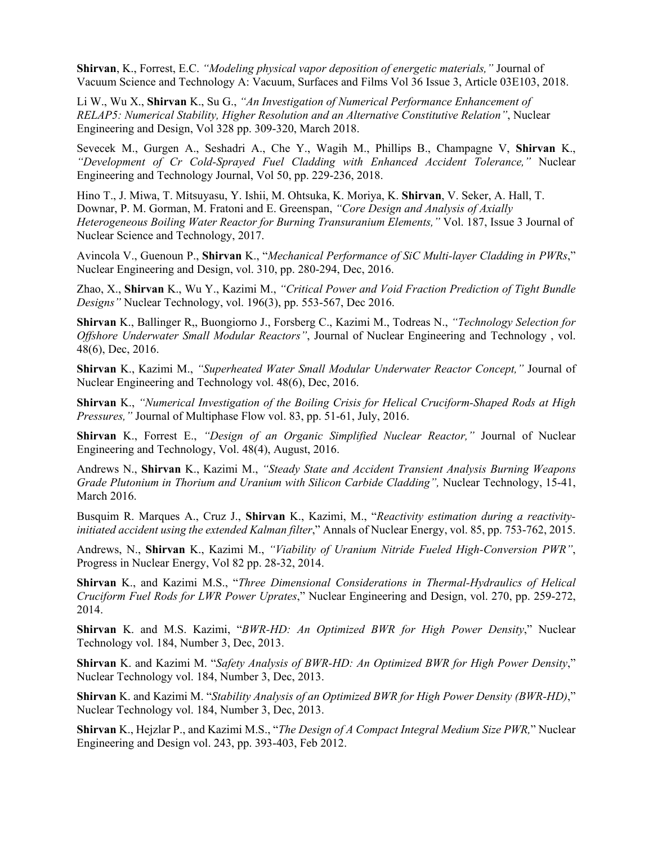**Shirvan**, K., Forrest, E.C. *"Modeling physical vapor deposition of energetic materials,"* Journal of Vacuum Science and Technology A: Vacuum, Surfaces and Films Vol 36 Issue 3, Article 03E103, 2018.

Li W., Wu X., **Shirvan** K., Su G., *"An Investigation of Numerical Performance Enhancement of RELAP5: Numerical Stability, Higher Resolution and an Alternative Constitutive Relation"*, Nuclear Engineering and Design, Vol 328 pp. 309-320, March 2018.

Sevecek M., Gurgen A., Seshadri A., Che Y., Wagih M., Phillips B., Champagne V, **Shirvan** K., *"Development of Cr Cold-Sprayed Fuel Cladding with Enhanced Accident Tolerance,"* Nuclear Engineering and Technology Journal, Vol 50, pp. 229-236, 2018.

Hino T., J. Miwa, T. Mitsuyasu, Y. Ishii, M. Ohtsuka, K. Moriya, K. **Shirvan**, V. Seker, A. Hall, T. Downar, P. M. Gorman, M. Fratoni and E. Greenspan, *"Core Design and Analysis of Axially Heterogeneous Boiling Water Reactor for Burning Transuranium Elements,"* Vol. 187, Issue 3 Journal of Nuclear Science and Technology, 2017.

Avincola V., Guenoun P., **Shirvan** K., "*Mechanical Performance of SiC Multi-layer Cladding in PWRs*," Nuclear Engineering and Design, vol. 310, pp. 280-294, Dec, 2016.

Zhao, X., **Shirvan** K., Wu Y., Kazimi M., *"Critical Power and Void Fraction Prediction of Tight Bundle Designs"* Nuclear Technology, vol. 196(3), pp. 553-567, Dec 2016.

**Shirvan** K., Ballinger R,, Buongiorno J., Forsberg C., Kazimi M., Todreas N., *"Technology Selection for Offshore Underwater Small Modular Reactors"*, Journal of Nuclear Engineering and Technology , vol. 48(6), Dec, 2016.

**Shirvan** K., Kazimi M., *"Superheated Water Small Modular Underwater Reactor Concept,"* Journal of Nuclear Engineering and Technology vol. 48(6), Dec, 2016.

**Shirvan** K., *"Numerical Investigation of the Boiling Crisis for Helical Cruciform-Shaped Rods at High Pressures,"* Journal of Multiphase Flow vol. 83, pp. 51-61, July, 2016.

**Shirvan** K., Forrest E., *"Design of an Organic Simplified Nuclear Reactor,"* Journal of Nuclear Engineering and Technology, Vol. 48(4), August, 2016.

Andrews N., **Shirvan** K., Kazimi M., *"Steady State and Accident Transient Analysis Burning Weapons Grade Plutonium in Thorium and Uranium with Silicon Carbide Cladding"*, Nuclear Technology, 15-41, March 2016.

Busquim R. Marques A., Cruz J., **Shirvan** K., Kazimi, M., "*Reactivity estimation during a reactivityinitiated accident using the extended Kalman filter*," Annals of Nuclear Energy, vol. 85, pp. 753-762, 2015.

Andrews, N., **Shirvan** K., Kazimi M., *"Viability of Uranium Nitride Fueled High-Conversion PWR"*, Progress in Nuclear Energy, Vol 82 pp. 28-32, 2014.

**Shirvan** K., and Kazimi M.S., "*Three Dimensional Considerations in Thermal-Hydraulics of Helical Cruciform Fuel Rods for LWR Power Uprates*," Nuclear Engineering and Design, vol. 270, pp. 259-272, 2014.

**Shirvan** K. and M.S. Kazimi, "*BWR-HD: An Optimized BWR for High Power Density*," Nuclear Technology vol. 184, Number 3, Dec, 2013.

**Shirvan** K. and Kazimi M. "*Safety Analysis of BWR-HD: An Optimized BWR for High Power Density*," Nuclear Technology vol. 184, Number 3, Dec, 2013.

**Shirvan** K. and Kazimi M. "*Stability Analysis of an Optimized BWR for High Power Density (BWR-HD)*," Nuclear Technology vol. 184, Number 3, Dec, 2013.

**Shirvan** K., Hejzlar P., and Kazimi M.S., "*The Design of A Compact Integral Medium Size PWR,*" Nuclear Engineering and Design vol. 243, pp. 393-403, Feb 2012.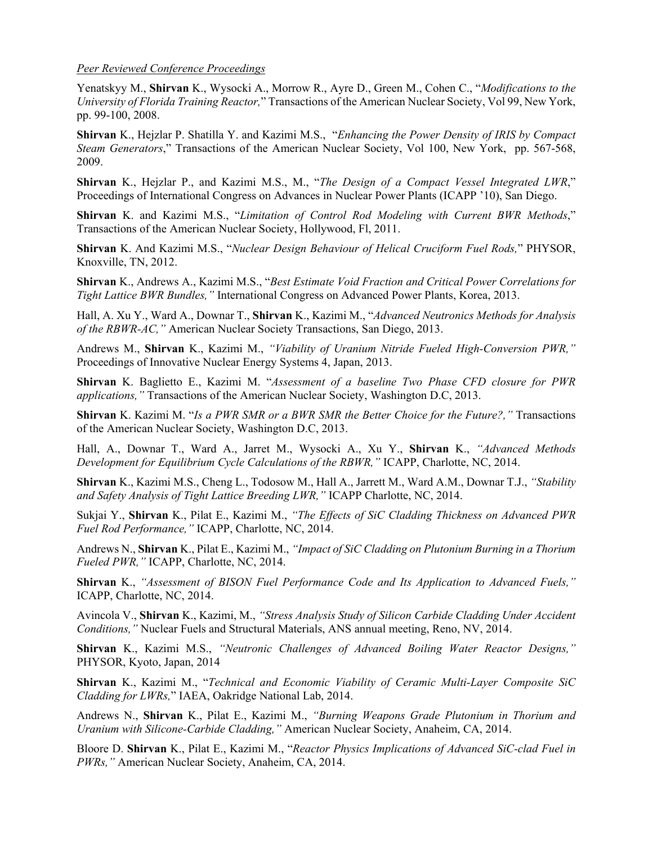#### *Peer Reviewed Conference Proceedings*

Yenatskyy M., **Shirvan** K., Wysocki A., Morrow R., Ayre D., Green M., Cohen C., "*Modifications to the University of Florida Training Reactor,*" Transactions of the American Nuclear Society, Vol 99, New York, pp. 99-100, 2008.

**Shirvan** K., Hejzlar P. Shatilla Y. and Kazimi M.S., "*Enhancing the Power Density of IRIS by Compact Steam Generators*," Transactions of the American Nuclear Society, Vol 100, New York, pp. 567-568, 2009.

**Shirvan** K., Hejzlar P., and Kazimi M.S., M., "*The Design of a Compact Vessel Integrated LWR*," Proceedings of International Congress on Advances in Nuclear Power Plants (ICAPP '10), San Diego.

**Shirvan** K. and Kazimi M.S., "*Limitation of Control Rod Modeling with Current BWR Methods*," Transactions of the American Nuclear Society, Hollywood, Fl, 2011.

**Shirvan** K. And Kazimi M.S., "*Nuclear Design Behaviour of Helical Cruciform Fuel Rods,*" PHYSOR, Knoxville, TN, 2012.

**Shirvan** K., Andrews A., Kazimi M.S., "*Best Estimate Void Fraction and Critical Power Correlations for Tight Lattice BWR Bundles,"* International Congress on Advanced Power Plants, Korea, 2013.

Hall, A. Xu Y., Ward A., Downar T., **Shirvan** K., Kazimi M., "*Advanced Neutronics Methods for Analysis of the RBWR-AC,"* American Nuclear Society Transactions, San Diego, 2013.

Andrews M., **Shirvan** K., Kazimi M., *"Viability of Uranium Nitride Fueled High-Conversion PWR,"* Proceedings of Innovative Nuclear Energy Systems 4, Japan, 2013.

**Shirvan** K. Baglietto E., Kazimi M. "*Assessment of a baseline Two Phase CFD closure for PWR applications,"* Transactions of the American Nuclear Society, Washington D.C, 2013.

**Shirvan** K. Kazimi M. "*Is a PWR SMR or a BWR SMR the Better Choice for the Future?,"* Transactions of the American Nuclear Society, Washington D.C, 2013.

Hall, A., Downar T., Ward A., Jarret M., Wysocki A., Xu Y., **Shirvan** K., *"Advanced Methods Development for Equilibrium Cycle Calculations of the RBWR,"* ICAPP, Charlotte, NC, 2014.

**Shirvan** K., Kazimi M.S., Cheng L., Todosow M., Hall A., Jarrett M., Ward A.M., Downar T.J., *"Stability and Safety Analysis of Tight Lattice Breeding LWR,"* ICAPP Charlotte, NC, 2014.

Sukjai Y., **Shirvan** K., Pilat E., Kazimi M., *"The Effects of SiC Cladding Thickness on Advanced PWR Fuel Rod Performance,"* ICAPP, Charlotte, NC, 2014.

Andrews N., **Shirvan** K., Pilat E., Kazimi M., *"Impact of SiC Cladding on Plutonium Burning in a Thorium Fueled PWR,"* ICAPP, Charlotte, NC, 2014.

**Shirvan** K., *"Assessment of BISON Fuel Performance Code and Its Application to Advanced Fuels,"* ICAPP, Charlotte, NC, 2014.

Avincola V., **Shirvan** K., Kazimi, M., *"Stress Analysis Study of Silicon Carbide Cladding Under Accident Conditions,"* Nuclear Fuels and Structural Materials, ANS annual meeting, Reno, NV, 2014.

**Shirvan** K., Kazimi M.S., *"Neutronic Challenges of Advanced Boiling Water Reactor Designs,"* PHYSOR, Kyoto, Japan, 2014

**Shirvan** K., Kazimi M., "*Technical and Economic Viability of Ceramic Multi-Layer Composite SiC Cladding for LWRs,*" IAEA, Oakridge National Lab, 2014.

Andrews N., **Shirvan** K., Pilat E., Kazimi M., *"Burning Weapons Grade Plutonium in Thorium and Uranium with Silicone-Carbide Cladding,"* American Nuclear Society, Anaheim, CA, 2014.

Bloore D. **Shirvan** K., Pilat E., Kazimi M., "*Reactor Physics Implications of Advanced SiC-clad Fuel in PWRs,"* American Nuclear Society, Anaheim, CA, 2014.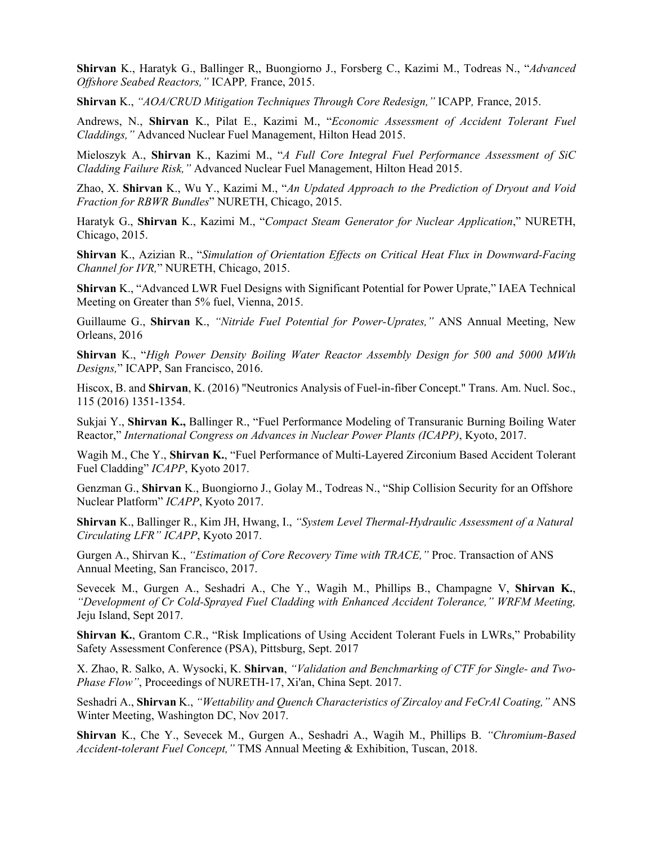**Shirvan** K., Haratyk G., Ballinger R,, Buongiorno J., Forsberg C., Kazimi M., Todreas N., "*Advanced Offshore Seabed Reactors,"* ICAPP*,* France, 2015.

**Shirvan** K., *"AOA/CRUD Mitigation Techniques Through Core Redesign,"* ICAPP*,* France, 2015.

Andrews, N., **Shirvan** K., Pilat E., Kazimi M., "*Economic Assessment of Accident Tolerant Fuel Claddings,"* Advanced Nuclear Fuel Management, Hilton Head 2015.

Mieloszyk A., **Shirvan** K., Kazimi M., "*A Full Core Integral Fuel Performance Assessment of SiC Cladding Failure Risk,"* Advanced Nuclear Fuel Management, Hilton Head 2015.

Zhao, X. **Shirvan** K., Wu Y., Kazimi M., "*An Updated Approach to the Prediction of Dryout and Void Fraction for RBWR Bundles*" NURETH, Chicago, 2015.

Haratyk G., **Shirvan** K., Kazimi M., "*Compact Steam Generator for Nuclear Application*," NURETH, Chicago, 2015.

**Shirvan** K., Azizian R., "*Simulation of Orientation Effects on Critical Heat Flux in Downward-Facing Channel for IVR,*" NURETH, Chicago, 2015.

**Shirvan** K., "Advanced LWR Fuel Designs with Significant Potential for Power Uprate," IAEA Technical Meeting on Greater than 5% fuel, Vienna, 2015.

Guillaume G., **Shirvan** K., *"Nitride Fuel Potential for Power-Uprates,"* ANS Annual Meeting, New Orleans, 2016

**Shirvan** K., "*High Power Density Boiling Water Reactor Assembly Design for 500 and 5000 MWth Designs,*" ICAPP, San Francisco, 2016.

Hiscox, B. and **Shirvan**, K. (2016) "Neutronics Analysis of Fuel-in-fiber Concept." Trans. Am. Nucl. Soc., 115 (2016) 1351-1354.

Sukjai Y., **Shirvan K.,** Ballinger R., "Fuel Performance Modeling of Transuranic Burning Boiling Water Reactor," *International Congress on Advances in Nuclear Power Plants (ICAPP)*, Kyoto, 2017.

Wagih M., Che Y., **Shirvan K.**, "Fuel Performance of Multi-Layered Zirconium Based Accident Tolerant Fuel Cladding" *ICAPP*, Kyoto 2017.

Genzman G., **Shirvan** K., Buongiorno J., Golay M., Todreas N., "Ship Collision Security for an Offshore Nuclear Platform" *ICAPP*, Kyoto 2017.

**Shirvan** K., Ballinger R., Kim JH, Hwang, I., *"System Level Thermal-Hydraulic Assessment of a Natural Circulating LFR" ICAPP*, Kyoto 2017.

Gurgen A., Shirvan K., *"Estimation of Core Recovery Time with TRACE,"* Proc. Transaction of ANS Annual Meeting, San Francisco, 2017.

Sevecek M., Gurgen A., Seshadri A., Che Y., Wagih M., Phillips B., Champagne V, **Shirvan K.**, *"Development of Cr Cold-Sprayed Fuel Cladding with Enhanced Accident Tolerance," WRFM Meeting,* Jeju Island, Sept 2017.

**Shirvan K.**, Grantom C.R., "Risk Implications of Using Accident Tolerant Fuels in LWRs," Probability Safety Assessment Conference (PSA), Pittsburg, Sept. 2017

X. Zhao, R. Salko, A. Wysocki, K. **Shirvan**, *"Validation and Benchmarking of CTF for Single- and Two-Phase Flow"*, Proceedings of NURETH-17, Xi'an, China Sept. 2017.

Seshadri A., **Shirvan** K., *"Wettability and Quench Characteristics of Zircaloy and FeCrAl Coating,"* ANS Winter Meeting, Washington DC, Nov 2017.

**Shirvan** K., Che Y., Sevecek M., Gurgen A., Seshadri A., Wagih M., Phillips B. *"Chromium-Based Accident-tolerant Fuel Concept,"* TMS Annual Meeting & Exhibition, Tuscan, 2018.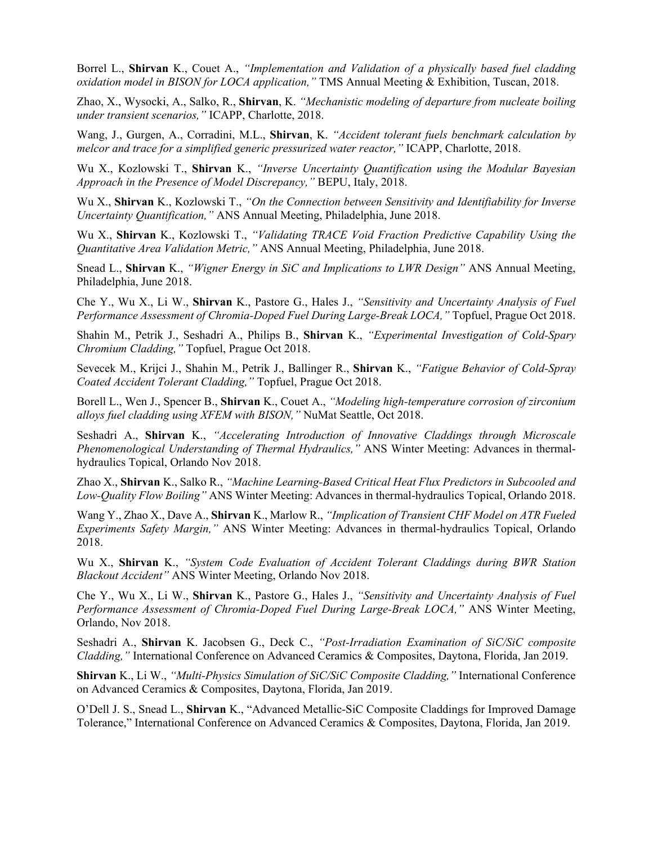Borrel L., **Shirvan** K., Couet A., *"Implementation and Validation of a physically based fuel cladding oxidation model in BISON for LOCA application,"* TMS Annual Meeting & Exhibition, Tuscan, 2018.

Zhao, X., Wysocki, A., Salko, R., **Shirvan**, K. *"Mechanistic modeling of departure from nucleate boiling under transient scenarios,"* ICAPP, Charlotte, 2018.

Wang, J., Gurgen, A., Corradini, M.L., **Shirvan**, K. *"Accident tolerant fuels benchmark calculation by melcor and trace for a simplified generic pressurized water reactor,"* ICAPP, Charlotte, 2018.

Wu X., Kozlowski T., **Shirvan** K., *"Inverse Uncertainty Quantification using the Modular Bayesian Approach in the Presence of Model Discrepancy,"* BEPU, Italy, 2018.

Wu X., **Shirvan** K., Kozlowski T., *"On the Connection between Sensitivity and Identifiability for Inverse Uncertainty Quantification,"* ANS Annual Meeting, Philadelphia, June 2018.

Wu X., **Shirvan** K., Kozlowski T., *"Validating TRACE Void Fraction Predictive Capability Using the Quantitative Area Validation Metric,"* ANS Annual Meeting, Philadelphia, June 2018.

Snead L., **Shirvan** K., *"Wigner Energy in SiC and Implications to LWR Design"* ANS Annual Meeting, Philadelphia, June 2018.

Che Y., Wu X., Li W., **Shirvan** K., Pastore G., Hales J., *"Sensitivity and Uncertainty Analysis of Fuel Performance Assessment of Chromia-Doped Fuel During Large-Break LOCA,"* Topfuel, Prague Oct 2018.

Shahin M., Petrik J., Seshadri A., Philips B., **Shirvan** K., *"Experimental Investigation of Cold-Spary Chromium Cladding,"* Topfuel, Prague Oct 2018.

Sevecek M., Krijci J., Shahin M., Petrik J., Ballinger R., **Shirvan** K., *"Fatigue Behavior of Cold-Spray Coated Accident Tolerant Cladding,"* Topfuel, Prague Oct 2018.

Borell L., Wen J., Spencer B., **Shirvan** K., Couet A., *"Modeling high-temperature corrosion of zirconium alloys fuel cladding using XFEM with BISON,"* NuMat Seattle, Oct 2018.

Seshadri A., **Shirvan** K., *"Accelerating Introduction of Innovative Claddings through Microscale Phenomenological Understanding of Thermal Hydraulics,"* ANS Winter Meeting: Advances in thermalhydraulics Topical, Orlando Nov 2018.

Zhao X., **Shirvan** K., Salko R., *"Machine Learning-Based Critical Heat Flux Predictors in Subcooled and Low-Quality Flow Boiling"* ANS Winter Meeting: Advances in thermal-hydraulics Topical, Orlando 2018.

Wang Y., Zhao X., Dave A., **Shirvan** K., Marlow R., *"Implication of Transient CHF Model on ATR Fueled Experiments Safety Margin,"* ANS Winter Meeting: Advances in thermal-hydraulics Topical, Orlando 2018.

Wu X., **Shirvan** K., *"System Code Evaluation of Accident Tolerant Claddings during BWR Station Blackout Accident"* ANS Winter Meeting, Orlando Nov 2018.

Che Y., Wu X., Li W., **Shirvan** K., Pastore G., Hales J., *"Sensitivity and Uncertainty Analysis of Fuel Performance Assessment of Chromia-Doped Fuel During Large-Break LOCA,"* ANS Winter Meeting, Orlando, Nov 2018.

Seshadri A., **Shirvan** K. Jacobsen G., Deck C., *"Post-Irradiation Examination of SiC/SiC composite Cladding,"* International Conference on Advanced Ceramics & Composites, Daytona, Florida, Jan 2019.

**Shirvan** K., Li W., *"Multi-Physics Simulation of SiC/SiC Composite Cladding,"* International Conference on Advanced Ceramics & Composites, Daytona, Florida, Jan 2019.

O'Dell J. S., Snead L., **Shirvan** K., "Advanced Metallic-SiC Composite Claddings for Improved Damage Tolerance," International Conference on Advanced Ceramics & Composites, Daytona, Florida, Jan 2019.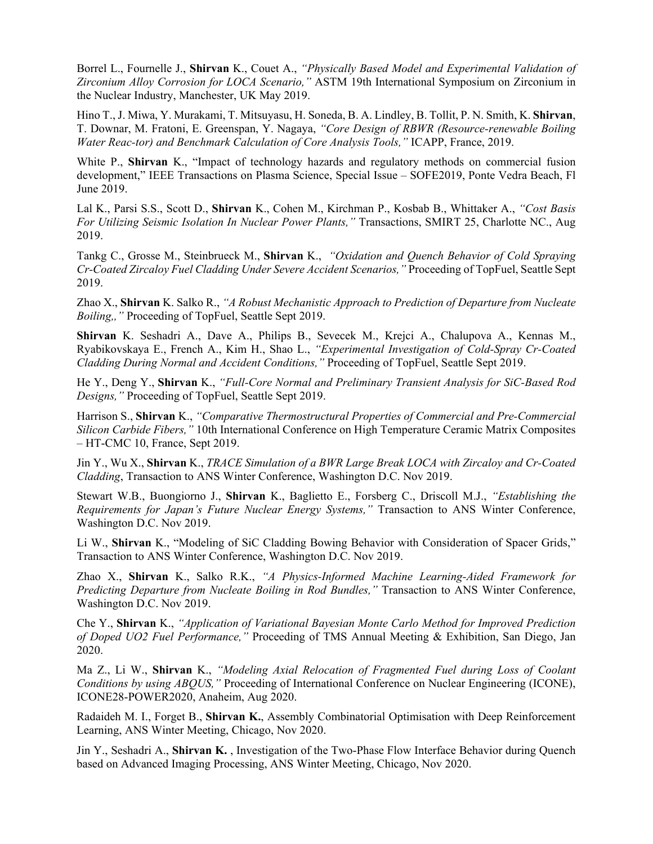Borrel L., Fournelle J., **Shirvan** K., Couet A., *"Physically Based Model and Experimental Validation of Zirconium Alloy Corrosion for LOCA Scenario,"* ASTM 19th International Symposium on Zirconium in the Nuclear Industry, Manchester, UK May 2019.

Hino T., J. Miwa, Y. Murakami, T. Mitsuyasu, H. Soneda, B. A. Lindley, B. Tollit, P. N. Smith, K. **Shirvan**, T. Downar, M. Fratoni, E. Greenspan, Y. Nagaya, *"Core Design of RBWR (Resource-renewable Boiling Water Reac-tor) and Benchmark Calculation of Core Analysis Tools,"* ICAPP, France, 2019.

White P., **Shirvan** K., "Impact of technology hazards and regulatory methods on commercial fusion development," IEEE Transactions on Plasma Science, Special Issue – SOFE2019, Ponte Vedra Beach, Fl June 2019.

Lal K., Parsi S.S., Scott D., **Shirvan** K., Cohen M., Kirchman P., Kosbab B., Whittaker A., *"Cost Basis For Utilizing Seismic Isolation In Nuclear Power Plants,"* Transactions, SMIRT 25, Charlotte NC., Aug 2019.

Tankg C., Grosse M., Steinbrueck M., **Shirvan** K., *"Oxidation and Quench Behavior of Cold Spraying Cr-Coated Zircaloy Fuel Cladding Under Severe Accident Scenarios,"* Proceeding of TopFuel, Seattle Sept 2019.

Zhao X., **Shirvan** K. Salko R., *"A Robust Mechanistic Approach to Prediction of Departure from Nucleate Boiling,,"* Proceeding of TopFuel, Seattle Sept 2019.

**Shirvan** K. Seshadri A., Dave A., Philips B., Sevecek M., Krejci A., Chalupova A., Kennas M., Ryabikovskaya E., French A., Kim H., Shao L., *"Experimental Investigation of Cold-Spray Cr-Coated Cladding During Normal and Accident Conditions,"* Proceeding of TopFuel, Seattle Sept 2019.

He Y., Deng Y., **Shirvan** K., *"Full-Core Normal and Preliminary Transient Analysis for SiC-Based Rod Designs,"* Proceeding of TopFuel, Seattle Sept 2019.

Harrison S., **Shirvan** K., *"Comparative Thermostructural Properties of Commercial and Pre-Commercial Silicon Carbide Fibers,"* 10th International Conference on High Temperature Ceramic Matrix Composites – HT-CMC 10, France, Sept 2019.

Jin Y., Wu X., **Shirvan** K., *TRACE Simulation of a BWR Large Break LOCA with Zircaloy and Cr-Coated Cladding*, Transaction to ANS Winter Conference, Washington D.C. Nov 2019.

Stewart W.B., Buongiorno J., **Shirvan** K., Baglietto E., Forsberg C., Driscoll M.J., *"Establishing the Requirements for Japan's Future Nuclear Energy Systems,"* Transaction to ANS Winter Conference, Washington D.C. Nov 2019.

Li W., **Shirvan** K., "Modeling of SiC Cladding Bowing Behavior with Consideration of Spacer Grids," Transaction to ANS Winter Conference, Washington D.C. Nov 2019.

Zhao X., **Shirvan** K., Salko R.K., *"A Physics-Informed Machine Learning-Aided Framework for Predicting Departure from Nucleate Boiling in Rod Bundles,"* Transaction to ANS Winter Conference, Washington D.C. Nov 2019.

Che Y., **Shirvan** K., *"Application of Variational Bayesian Monte Carlo Method for Improved Prediction of Doped UO2 Fuel Performance,"* Proceeding of TMS Annual Meeting & Exhibition, San Diego, Jan 2020.

Ma Z., Li W., **Shirvan** K., *"Modeling Axial Relocation of Fragmented Fuel during Loss of Coolant Conditions by using ABQUS,"* Proceeding of International Conference on Nuclear Engineering (ICONE), ICONE28-POWER2020, Anaheim, Aug 2020.

Radaideh M. I., Forget B., **Shirvan K.**, Assembly Combinatorial Optimisation with Deep Reinforcement Learning, ANS Winter Meeting, Chicago, Nov 2020.

Jin Y., Seshadri A., **Shirvan K.** , Investigation of the Two-Phase Flow Interface Behavior during Quench based on Advanced Imaging Processing, ANS Winter Meeting, Chicago, Nov 2020.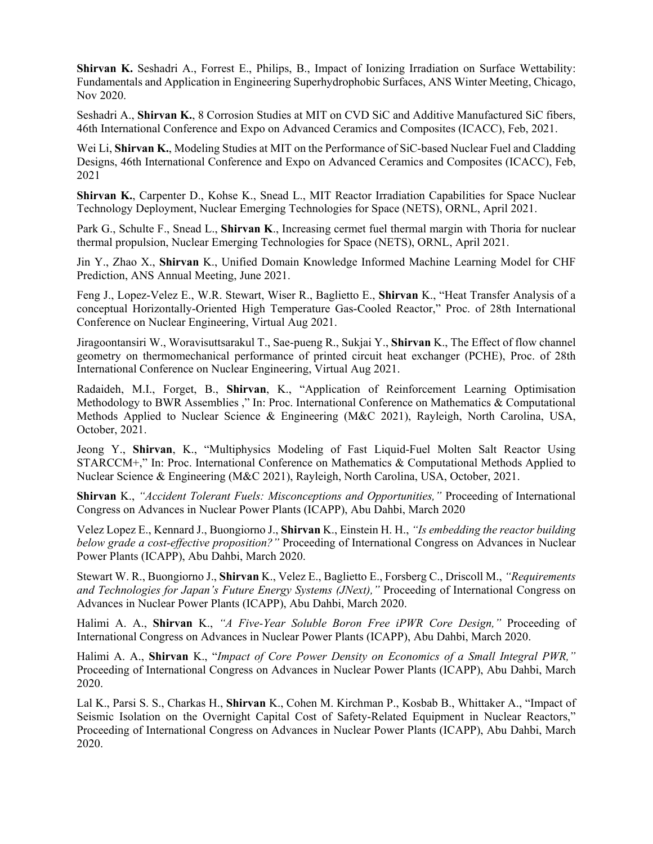**Shirvan K.** Seshadri A., Forrest E., Philips, B., Impact of Ionizing Irradiation on Surface Wettability: Fundamentals and Application in Engineering Superhydrophobic Surfaces, ANS Winter Meeting, Chicago, Nov 2020.

Seshadri A., **Shirvan K.**, 8 Corrosion Studies at MIT on CVD SiC and Additive Manufactured SiC fibers, 46th International Conference and Expo on Advanced Ceramics and Composites (ICACC), Feb, 2021.

Wei Li, **Shirvan K.**, Modeling Studies at MIT on the Performance of SiC-based Nuclear Fuel and Cladding Designs, 46th International Conference and Expo on Advanced Ceramics and Composites (ICACC), Feb, 2021

**Shirvan K.**, Carpenter D., Kohse K., Snead L., MIT Reactor Irradiation Capabilities for Space Nuclear Technology Deployment, Nuclear Emerging Technologies for Space (NETS), ORNL, April 2021.

Park G., Schulte F., Snead L., **Shirvan K**., Increasing cermet fuel thermal margin with Thoria for nuclear thermal propulsion, Nuclear Emerging Technologies for Space (NETS), ORNL, April 2021.

Jin Y., Zhao X., **Shirvan** K., Unified Domain Knowledge Informed Machine Learning Model for CHF Prediction, ANS Annual Meeting, June 2021.

Feng J., Lopez-Velez E., W.R. Stewart, Wiser R., Baglietto E., **Shirvan** K., "Heat Transfer Analysis of a conceptual Horizontally-Oriented High Temperature Gas-Cooled Reactor," Proc. of 28th International Conference on Nuclear Engineering, Virtual Aug 2021.

Jiragoontansiri W., Woravisuttsarakul T., Sae-pueng R., Sukjai Y., **Shirvan** K., The Effect of flow channel geometry on thermomechanical performance of printed circuit heat exchanger (PCHE), Proc. of 28th International Conference on Nuclear Engineering, Virtual Aug 2021.

Radaideh, M.I., Forget, B., **Shirvan**, K., "Application of Reinforcement Learning Optimisation Methodology to BWR Assemblies ," In: Proc. International Conference on Mathematics & Computational Methods Applied to Nuclear Science & Engineering (M&C 2021), Rayleigh, North Carolina, USA, October, 2021.

Jeong Y., **Shirvan**, K., "Multiphysics Modeling of Fast Liquid-Fuel Molten Salt Reactor Using STARCCM+," In: Proc. International Conference on Mathematics & Computational Methods Applied to Nuclear Science & Engineering (M&C 2021), Rayleigh, North Carolina, USA, October, 2021.

**Shirvan** K., *"Accident Tolerant Fuels: Misconceptions and Opportunities,"* Proceeding of International Congress on Advances in Nuclear Power Plants (ICAPP), Abu Dahbi, March 2020

Velez Lopez E., Kennard J., Buongiorno J., **Shirvan** K., Einstein H. H., *"Is embedding the reactor building below grade a cost-effective proposition?"* Proceeding of International Congress on Advances in Nuclear Power Plants (ICAPP), Abu Dahbi, March 2020.

Stewart W. R., Buongiorno J., **Shirvan** K., Velez E., Baglietto E., Forsberg C., Driscoll M., *"Requirements and Technologies for Japan's Future Energy Systems (JNext),"* Proceeding of International Congress on Advances in Nuclear Power Plants (ICAPP), Abu Dahbi, March 2020.

Halimi A. A., **Shirvan** K., *"A Five-Year Soluble Boron Free iPWR Core Design,"* Proceeding of International Congress on Advances in Nuclear Power Plants (ICAPP), Abu Dahbi, March 2020.

Halimi A. A., **Shirvan** K., "*Impact of Core Power Density on Economics of a Small Integral PWR,"* Proceeding of International Congress on Advances in Nuclear Power Plants (ICAPP), Abu Dahbi, March 2020.

Lal K., Parsi S. S., Charkas H., **Shirvan** K., Cohen M. Kirchman P., Kosbab B., Whittaker A., "Impact of Seismic Isolation on the Overnight Capital Cost of Safety-Related Equipment in Nuclear Reactors," Proceeding of International Congress on Advances in Nuclear Power Plants (ICAPP), Abu Dahbi, March 2020.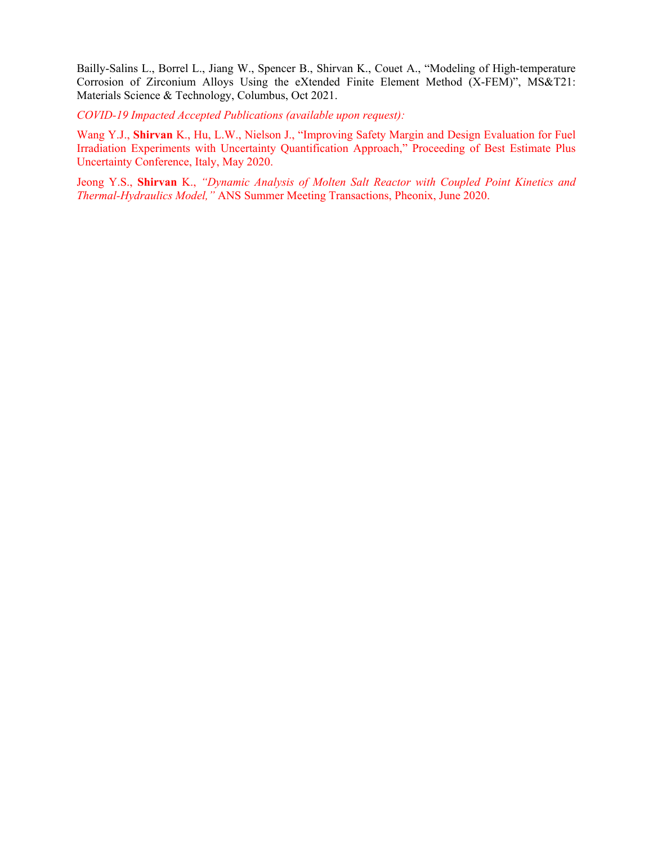Bailly-Salins L., Borrel L., Jiang W., Spencer B., Shirvan K., Couet A., "Modeling of High-temperature Corrosion of Zirconium Alloys Using the eXtended Finite Element Method (X-FEM)", MS&T21: Materials Science & Technology, Columbus, Oct 2021.

*COVID-19 Impacted Accepted Publications (available upon request):*

Wang Y.J., **Shirvan** K., Hu, L.W., Nielson J., "Improving Safety Margin and Design Evaluation for Fuel Irradiation Experiments with Uncertainty Quantification Approach," Proceeding of Best Estimate Plus Uncertainty Conference, Italy, May 2020.

Jeong Y.S., **Shirvan** K., *"Dynamic Analysis of Molten Salt Reactor with Coupled Point Kinetics and Thermal-Hydraulics Model,"* ANS Summer Meeting Transactions, Pheonix, June 2020.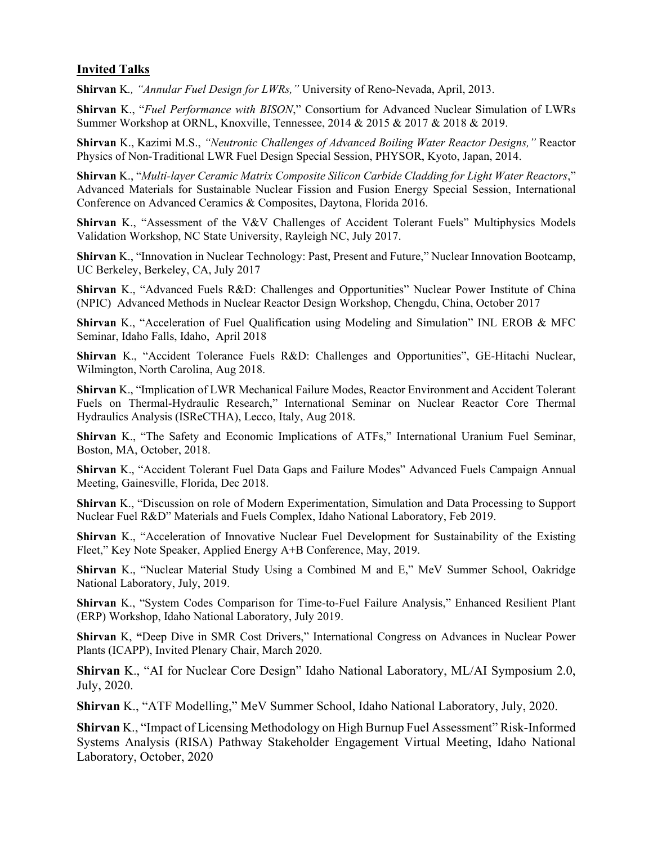### **Invited Talks**

**Shirvan** K*., "Annular Fuel Design for LWRs,"* University of Reno-Nevada, April, 2013.

**Shirvan** K., "*Fuel Performance with BISON*," Consortium for Advanced Nuclear Simulation of LWRs Summer Workshop at ORNL, Knoxville, Tennessee, 2014 & 2015 & 2017 & 2018 & 2019.

**Shirvan** K., Kazimi M.S., *"Neutronic Challenges of Advanced Boiling Water Reactor Designs,"* Reactor Physics of Non-Traditional LWR Fuel Design Special Session, PHYSOR, Kyoto, Japan, 2014.

**Shirvan** K., "*Multi-layer Ceramic Matrix Composite Silicon Carbide Cladding for Light Water Reactors*," Advanced Materials for Sustainable Nuclear Fission and Fusion Energy Special Session, International Conference on Advanced Ceramics & Composites, Daytona, Florida 2016.

**Shirvan** K., "Assessment of the V&V Challenges of Accident Tolerant Fuels" Multiphysics Models Validation Workshop, NC State University, Rayleigh NC, July 2017.

**Shirvan** K., "Innovation in Nuclear Technology: Past, Present and Future," Nuclear Innovation Bootcamp, UC Berkeley, Berkeley, CA, July 2017

**Shirvan** K., "Advanced Fuels R&D: Challenges and Opportunities" Nuclear Power Institute of China (NPIC) Advanced Methods in Nuclear Reactor Design Workshop, Chengdu, China, October 2017

**Shirvan** K., "Acceleration of Fuel Qualification using Modeling and Simulation" INL EROB & MFC Seminar, Idaho Falls, Idaho, April 2018

**Shirvan** K., "Accident Tolerance Fuels R&D: Challenges and Opportunities", GE-Hitachi Nuclear, Wilmington, North Carolina, Aug 2018.

**Shirvan** K., "Implication of LWR Mechanical Failure Modes, Reactor Environment and Accident Tolerant Fuels on Thermal-Hydraulic Research," International Seminar on Nuclear Reactor Core Thermal Hydraulics Analysis (ISReCTHA), Lecco, Italy, Aug 2018.

**Shirvan** K., "The Safety and Economic Implications of ATFs," International Uranium Fuel Seminar, Boston, MA, October, 2018.

**Shirvan** K., "Accident Tolerant Fuel Data Gaps and Failure Modes" Advanced Fuels Campaign Annual Meeting, Gainesville, Florida, Dec 2018.

**Shirvan** K., "Discussion on role of Modern Experimentation, Simulation and Data Processing to Support Nuclear Fuel R&D" Materials and Fuels Complex, Idaho National Laboratory, Feb 2019.

**Shirvan** K., "Acceleration of Innovative Nuclear Fuel Development for Sustainability of the Existing Fleet," Key Note Speaker, Applied Energy A+B Conference, May, 2019.

**Shirvan** K., "Nuclear Material Study Using a Combined M and E," MeV Summer School, Oakridge National Laboratory, July, 2019.

**Shirvan** K., "System Codes Comparison for Time-to-Fuel Failure Analysis," Enhanced Resilient Plant (ERP) Workshop, Idaho National Laboratory, July 2019.

**Shirvan** K, **"**Deep Dive in SMR Cost Drivers," International Congress on Advances in Nuclear Power Plants (ICAPP), Invited Plenary Chair, March 2020.

**Shirvan** K., "AI for Nuclear Core Design" Idaho National Laboratory, ML/AI Symposium 2.0, July, 2020.

**Shirvan** K., "ATF Modelling," MeV Summer School, Idaho National Laboratory, July, 2020.

**Shirvan** K., "Impact of Licensing Methodology on High Burnup Fuel Assessment" Risk-Informed Systems Analysis (RISA) Pathway Stakeholder Engagement Virtual Meeting, Idaho National Laboratory, October, 2020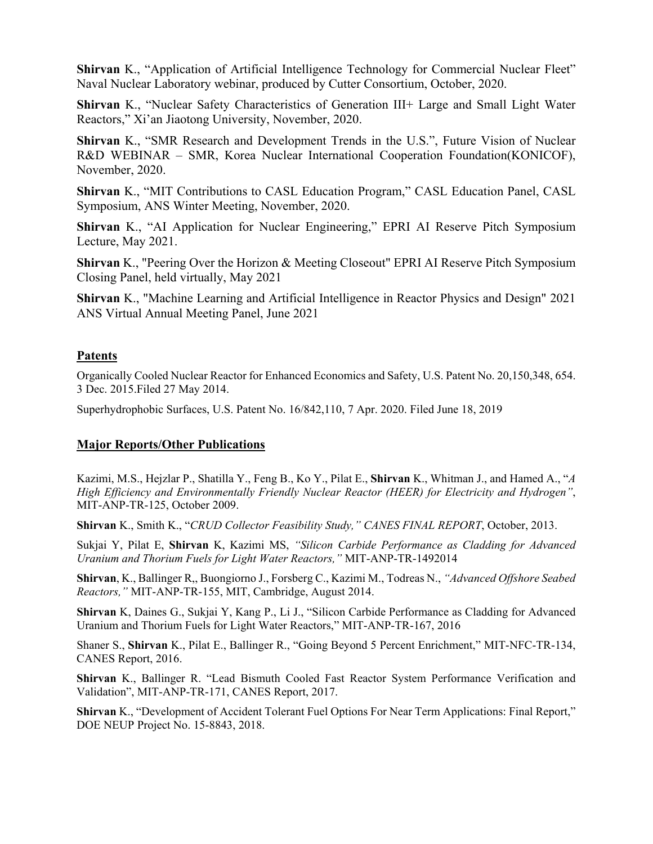**Shirvan** K., "Application of Artificial Intelligence Technology for Commercial Nuclear Fleet" Naval Nuclear Laboratory webinar, produced by Cutter Consortium, October, 2020.

**Shirvan** K., "Nuclear Safety Characteristics of Generation III+ Large and Small Light Water Reactors," Xi'an Jiaotong University, November, 2020.

**Shirvan** K., "SMR Research and Development Trends in the U.S.", Future Vision of Nuclear R&D WEBINAR – SMR, Korea Nuclear International Cooperation Foundation(KONICOF), November, 2020.

**Shirvan** K., "MIT Contributions to CASL Education Program," CASL Education Panel, CASL Symposium, ANS Winter Meeting, November, 2020.

**Shirvan** K., "AI Application for Nuclear Engineering," EPRI AI Reserve Pitch Symposium Lecture, May 2021.

**Shirvan** K., "Peering Over the Horizon & Meeting Closeout" EPRI AI Reserve Pitch Symposium Closing Panel, held virtually, May 2021

**Shirvan** K., "Machine Learning and Artificial Intelligence in Reactor Physics and Design" 2021 ANS Virtual Annual Meeting Panel, June 2021

### **Patents**

Organically Cooled Nuclear Reactor for Enhanced Economics and Safety, U.S. Patent No. 20,150,348, 654. 3 Dec. 2015.Filed 27 May 2014.

Superhydrophobic Surfaces, U.S. Patent No. 16/842,110, 7 Apr. 2020. Filed June 18, 2019

### **Major Reports/Other Publications**

Kazimi, M.S., Hejzlar P., Shatilla Y., Feng B., Ko Y., Pilat E., **Shirvan** K., Whitman J., and Hamed A., "*A High Efficiency and Environmentally Friendly Nuclear Reactor (HEER) for Electricity and Hydrogen"*, MIT-ANP-TR-125, October 2009.

**Shirvan** K., Smith K., "*CRUD Collector Feasibility Study," CANES FINAL REPORT*, October, 2013.

Sukjai Y, Pilat E, **Shirvan** K, Kazimi MS, *"Silicon Carbide Performance as Cladding for Advanced Uranium and Thorium Fuels for Light Water Reactors,"* MIT-ANP-TR-1492014

**Shirvan**, K., Ballinger R,, Buongiorno J., Forsberg C., Kazimi M., Todreas N., *"Advanced Offshore Seabed Reactors,"* MIT-ANP-TR-155, MIT, Cambridge, August 2014.

**Shirvan** K, Daines G., Sukjai Y, Kang P., Li J., "Silicon Carbide Performance as Cladding for Advanced Uranium and Thorium Fuels for Light Water Reactors," MIT-ANP-TR-167, 2016

Shaner S., **Shirvan** K., Pilat E., Ballinger R., "Going Beyond 5 Percent Enrichment," MIT-NFC-TR-134, CANES Report, 2016.

**Shirvan** K., Ballinger R. "Lead Bismuth Cooled Fast Reactor System Performance Verification and Validation", MIT-ANP-TR-171, CANES Report, 2017.

**Shirvan** K., "Development of Accident Tolerant Fuel Options For Near Term Applications: Final Report," DOE NEUP Project No. 15-8843, 2018.